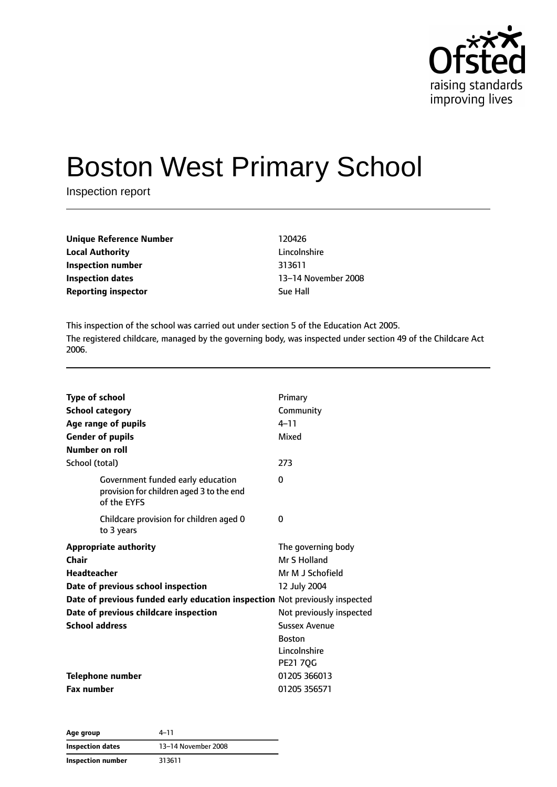

# Boston West Primary School

Inspection report

| Unique Reference Number    | 120426    |
|----------------------------|-----------|
| <b>Local Authority</b>     | Lincolnsl |
| Inspection number          | 313611    |
| Inspection dates           | 13–14 N   |
| <b>Reporting inspector</b> | Sue Hall  |

**Lincolnshire Inspection dates** 13–14 November 2008

This inspection of the school was carried out under section 5 of the Education Act 2005. The registered childcare, managed by the governing body, was inspected under section 49 of the Childcare Act 2006.

| <b>Type of school</b>                                                                        | Primary                  |
|----------------------------------------------------------------------------------------------|--------------------------|
| <b>School category</b>                                                                       | Community                |
| Age range of pupils                                                                          | $4 - 11$                 |
| <b>Gender of pupils</b>                                                                      | Mixed                    |
| Number on roll                                                                               |                          |
| School (total)                                                                               | 273                      |
| Government funded early education<br>provision for children aged 3 to the end<br>of the EYFS | 0                        |
| Childcare provision for children aged 0<br>to 3 years                                        | 0                        |
| <b>Appropriate authority</b>                                                                 | The governing body       |
| Chair                                                                                        | Mr S Holland             |
| <b>Headteacher</b>                                                                           | Mr M J Schofield         |
| Date of previous school inspection                                                           | 12 July 2004             |
| Date of previous funded early education inspection Not previously inspected                  |                          |
| Date of previous childcare inspection                                                        | Not previously inspected |
| <b>School address</b>                                                                        | <b>Sussex Avenue</b>     |
|                                                                                              | <b>Boston</b>            |
|                                                                                              | Lincolnshire             |
|                                                                                              | <b>PE21 7QG</b>          |
| <b>Telephone number</b>                                                                      | 01205 366013             |
| <b>Fax number</b>                                                                            | 01205 356571             |

| Age group         | 4–11                |
|-------------------|---------------------|
| Inspection dates  | 13-14 November 2008 |
| Inspection number | 313611              |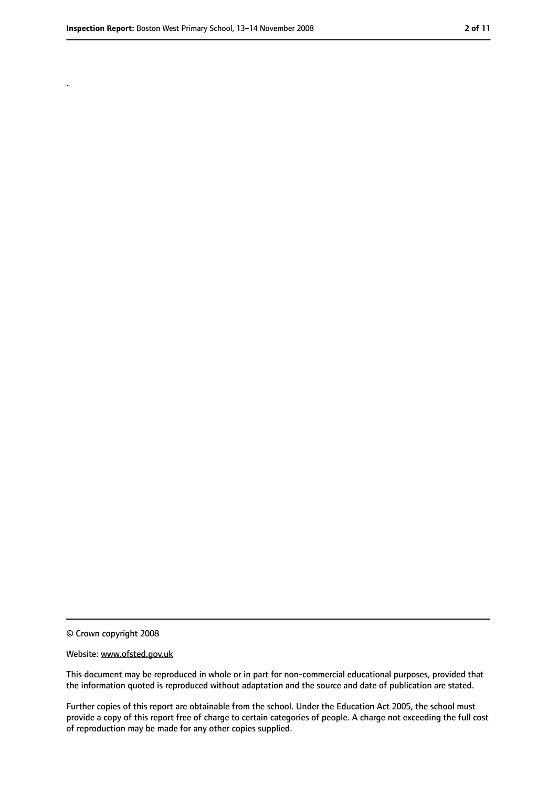.

<sup>©</sup> Crown copyright 2008

Website: www.ofsted.gov.uk

This document may be reproduced in whole or in part for non-commercial educational purposes, provided that the information quoted is reproduced without adaptation and the source and date of publication are stated.

Further copies of this report are obtainable from the school. Under the Education Act 2005, the school must provide a copy of this report free of charge to certain categories of people. A charge not exceeding the full cost of reproduction may be made for any other copies supplied.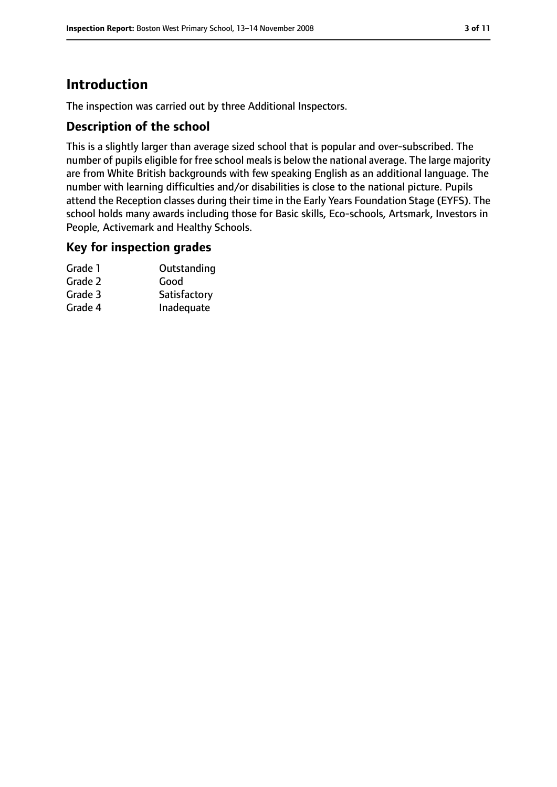### **Introduction**

The inspection was carried out by three Additional Inspectors.

#### **Description of the school**

This is a slightly larger than average sized school that is popular and over-subscribed. The number of pupils eligible for free school meals is below the national average. The large majority are from White British backgrounds with few speaking English as an additional language. The number with learning difficulties and/or disabilities is close to the national picture. Pupils attend the Reception classes during their time in the Early Years Foundation Stage (EYFS). The school holds many awards including those for Basic skills, Eco-schools, Artsmark, Investors in People, Activemark and Healthy Schools.

#### **Key for inspection grades**

| Grade 1 | Outstanding  |
|---------|--------------|
| Grade 2 | Good         |
| Grade 3 | Satisfactory |
| Grade 4 | Inadequate   |
|         |              |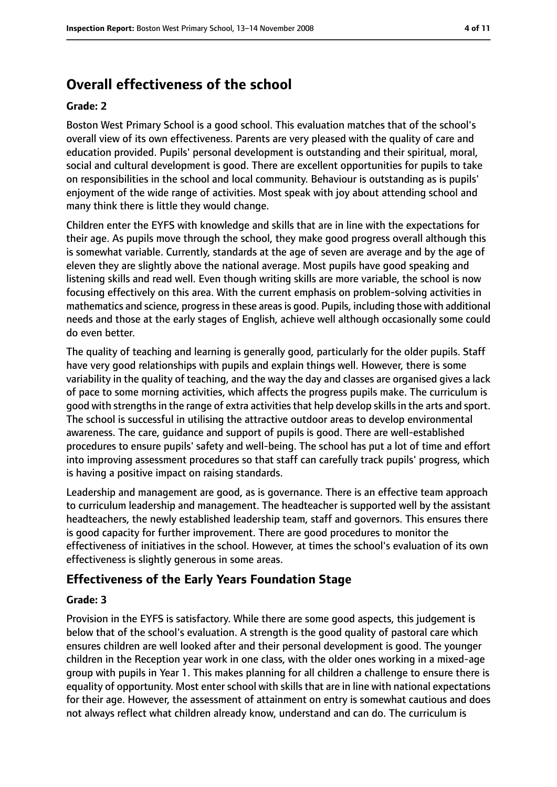### **Overall effectiveness of the school**

#### **Grade: 2**

Boston West Primary School is a good school. This evaluation matches that of the school's overall view of its own effectiveness. Parents are very pleased with the quality of care and education provided. Pupils' personal development is outstanding and their spiritual, moral, social and cultural development is good. There are excellent opportunities for pupils to take on responsibilities in the school and local community. Behaviour is outstanding as is pupils' enjoyment of the wide range of activities. Most speak with joy about attending school and many think there is little they would change.

Children enter the EYFS with knowledge and skills that are in line with the expectations for their age. As pupils move through the school, they make good progress overall although this is somewhat variable. Currently, standards at the age of seven are average and by the age of eleven they are slightly above the national average. Most pupils have good speaking and listening skills and read well. Even though writing skills are more variable, the school is now focusing effectively on this area. With the current emphasis on problem-solving activities in mathematics and science, progressin these areasis good. Pupils, including those with additional needs and those at the early stages of English, achieve well although occasionally some could do even better.

The quality of teaching and learning is generally good, particularly for the older pupils. Staff have very good relationships with pupils and explain things well. However, there is some variability in the quality of teaching, and the way the day and classes are organised gives a lack of pace to some morning activities, which affects the progress pupils make. The curriculum is good with strengths in the range of extra activities that help develop skills in the arts and sport. The school is successful in utilising the attractive outdoor areas to develop environmental awareness. The care, guidance and support of pupils is good. There are well-established procedures to ensure pupils' safety and well-being. The school has put a lot of time and effort into improving assessment procedures so that staff can carefully track pupils' progress, which is having a positive impact on raising standards.

Leadership and management are good, as is governance. There is an effective team approach to curriculum leadership and management. The headteacher is supported well by the assistant headteachers, the newly established leadership team, staff and governors. This ensures there is good capacity for further improvement. There are good procedures to monitor the effectiveness of initiatives in the school. However, at times the school's evaluation of its own effectiveness is slightly generous in some areas.

### **Effectiveness of the Early Years Foundation Stage**

#### **Grade: 3**

Provision in the EYFS is satisfactory. While there are some good aspects, this judgement is below that of the school's evaluation. A strength is the good quality of pastoral care which ensures children are well looked after and their personal development is good. The younger children in the Reception year work in one class, with the older ones working in a mixed-age group with pupils in Year 1. This makes planning for all children a challenge to ensure there is equality of opportunity. Most enter school with skills that are in line with national expectations for their age. However, the assessment of attainment on entry is somewhat cautious and does not always reflect what children already know, understand and can do. The curriculum is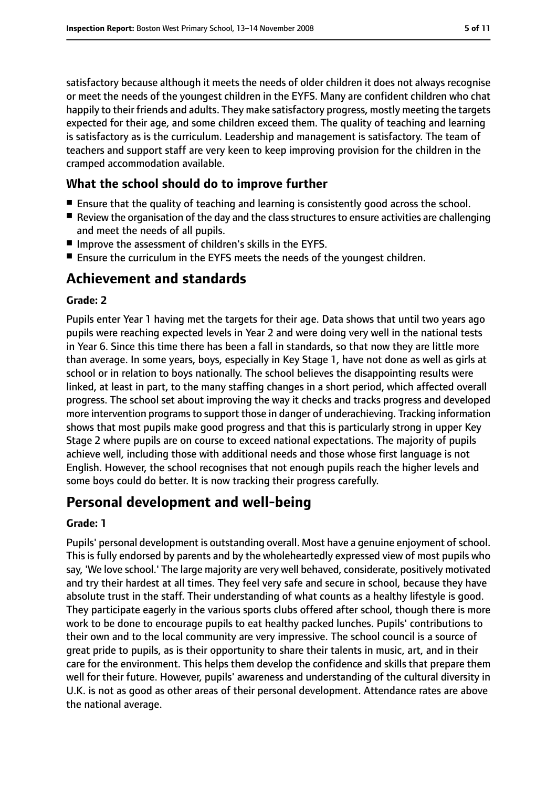satisfactory because although it meets the needs of older children it does not always recognise or meet the needs of the youngest children in the EYFS. Many are confident children who chat happily to their friends and adults. They make satisfactory progress, mostly meeting the targets expected for their age, and some children exceed them. The quality of teaching and learning is satisfactory as is the curriculum. Leadership and management is satisfactory. The team of teachers and support staff are very keen to keep improving provision for the children in the cramped accommodation available.

#### **What the school should do to improve further**

- Ensure that the quality of teaching and learning is consistently good across the school.
- Review the organisation of the day and the class structures to ensure activities are challenging and meet the needs of all pupils.
- Improve the assessment of children's skills in the EYFS.
- Ensure the curriculum in the EYFS meets the needs of the youngest children.

### **Achievement and standards**

#### **Grade: 2**

Pupils enter Year 1 having met the targets for their age. Data shows that until two years ago pupils were reaching expected levels in Year 2 and were doing very well in the national tests in Year 6. Since this time there has been a fall in standards, so that now they are little more than average. In some years, boys, especially in Key Stage 1, have not done as well as girls at school or in relation to boys nationally. The school believes the disappointing results were linked, at least in part, to the many staffing changes in a short period, which affected overall progress. The school set about improving the way it checks and tracks progress and developed more intervention programs to support those in danger of underachieving. Tracking information shows that most pupils make good progress and that this is particularly strong in upper Key Stage 2 where pupils are on course to exceed national expectations. The majority of pupils achieve well, including those with additional needs and those whose first language is not English. However, the school recognises that not enough pupils reach the higher levels and some boys could do better. It is now tracking their progress carefully.

### **Personal development and well-being**

#### **Grade: 1**

Pupils' personal development is outstanding overall. Most have a genuine enjoyment of school. This is fully endorsed by parents and by the wholeheartedly expressed view of most pupils who say, 'We love school.' The large majority are very well behaved, considerate, positively motivated and try their hardest at all times. They feel very safe and secure in school, because they have absolute trust in the staff. Their understanding of what counts as a healthy lifestyle is good. They participate eagerly in the various sports clubs offered after school, though there is more work to be done to encourage pupils to eat healthy packed lunches. Pupils' contributions to their own and to the local community are very impressive. The school council is a source of great pride to pupils, as is their opportunity to share their talents in music, art, and in their care for the environment. This helps them develop the confidence and skills that prepare them well for their future. However, pupils' awareness and understanding of the cultural diversity in U.K. is not as good as other areas of their personal development. Attendance rates are above the national average.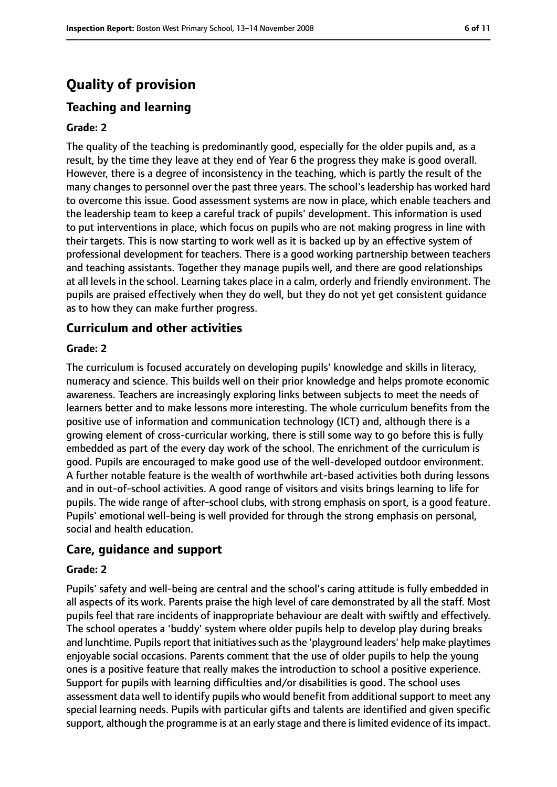### **Quality of provision**

#### **Teaching and learning**

#### **Grade: 2**

The quality of the teaching is predominantly good, especially for the older pupils and, as a result, by the time they leave at they end of Year 6 the progress they make is good overall. However, there is a degree of inconsistency in the teaching, which is partly the result of the many changes to personnel over the past three years. The school's leadership has worked hard to overcome this issue. Good assessment systems are now in place, which enable teachers and the leadership team to keep a careful track of pupils' development. This information is used to put interventions in place, which focus on pupils who are not making progress in line with their targets. This is now starting to work well as it is backed up by an effective system of professional development for teachers. There is a good working partnership between teachers and teaching assistants. Together they manage pupils well, and there are good relationships at all levels in the school. Learning takes place in a calm, orderly and friendly environment. The pupils are praised effectively when they do well, but they do not yet get consistent guidance as to how they can make further progress.

#### **Curriculum and other activities**

#### **Grade: 2**

The curriculum is focused accurately on developing pupils' knowledge and skills in literacy, numeracy and science. This builds well on their prior knowledge and helps promote economic awareness. Teachers are increasingly exploring links between subjects to meet the needs of learners better and to make lessons more interesting. The whole curriculum benefits from the positive use of information and communication technology (ICT) and, although there is a growing element of cross-curricular working, there is still some way to go before this is fully embedded as part of the every day work of the school. The enrichment of the curriculum is good. Pupils are encouraged to make good use of the well-developed outdoor environment. A further notable feature is the wealth of worthwhile art-based activities both during lessons and in out-of-school activities. A good range of visitors and visits brings learning to life for pupils. The wide range of after-school clubs, with strong emphasis on sport, is a good feature. Pupils' emotional well-being is well provided for through the strong emphasis on personal, social and health education.

#### **Care, guidance and support**

#### **Grade: 2**

Pupils' safety and well-being are central and the school's caring attitude is fully embedded in all aspects of its work. Parents praise the high level of care demonstrated by all the staff. Most pupils feel that rare incidents of inappropriate behaviour are dealt with swiftly and effectively. The school operates a 'buddy' system where older pupils help to develop play during breaks and lunchtime. Pupils report that initiatives such as the 'playground leaders' help make playtimes enjoyable social occasions. Parents comment that the use of older pupils to help the young ones is a positive feature that really makes the introduction to school a positive experience. Support for pupils with learning difficulties and/or disabilities is good. The school uses assessment data well to identify pupils who would benefit from additional support to meet any special learning needs. Pupils with particular gifts and talents are identified and given specific support, although the programme is at an early stage and there is limited evidence of its impact.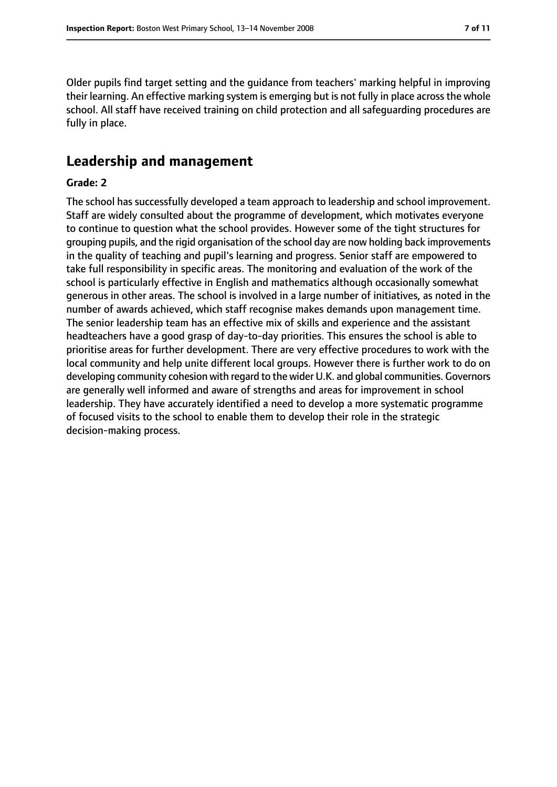Older pupils find target setting and the guidance from teachers' marking helpful in improving their learning. An effective marking system is emerging but is not fully in place across the whole school. All staff have received training on child protection and all safeguarding procedures are fully in place.

### **Leadership and management**

#### **Grade: 2**

The school has successfully developed a team approach to leadership and school improvement. Staff are widely consulted about the programme of development, which motivates everyone to continue to question what the school provides. However some of the tight structures for grouping pupils, and the rigid organisation of the school day are now holding back improvements in the quality of teaching and pupil's learning and progress. Senior staff are empowered to take full responsibility in specific areas. The monitoring and evaluation of the work of the school is particularly effective in English and mathematics although occasionally somewhat generous in other areas. The school is involved in a large number of initiatives, as noted in the number of awards achieved, which staff recognise makes demands upon management time. The senior leadership team has an effective mix of skills and experience and the assistant headteachers have a good grasp of day-to-day priorities. This ensures the school is able to prioritise areas for further development. There are very effective procedures to work with the local community and help unite different local groups. However there is further work to do on developing community cohesion with regard to the wider U.K. and global communities. Governors are generally well informed and aware of strengths and areas for improvement in school leadership. They have accurately identified a need to develop a more systematic programme of focused visits to the school to enable them to develop their role in the strategic decision-making process.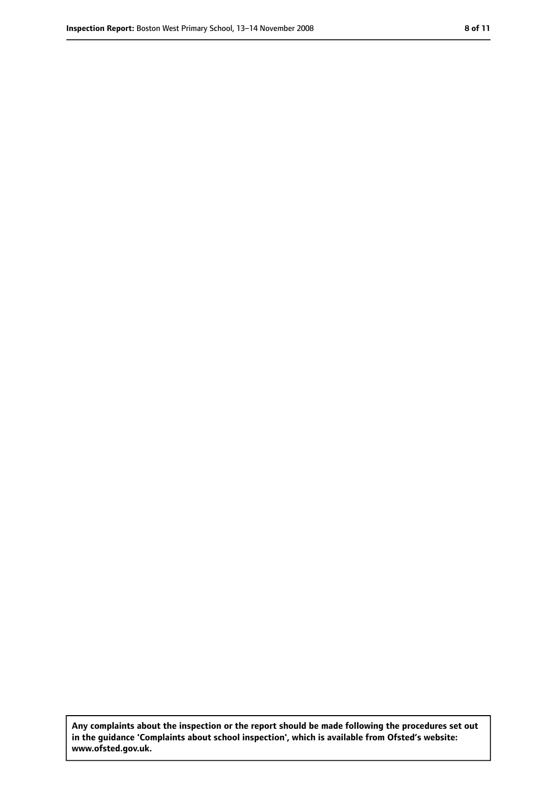**Any complaints about the inspection or the report should be made following the procedures set out in the guidance 'Complaints about school inspection', which is available from Ofsted's website: www.ofsted.gov.uk.**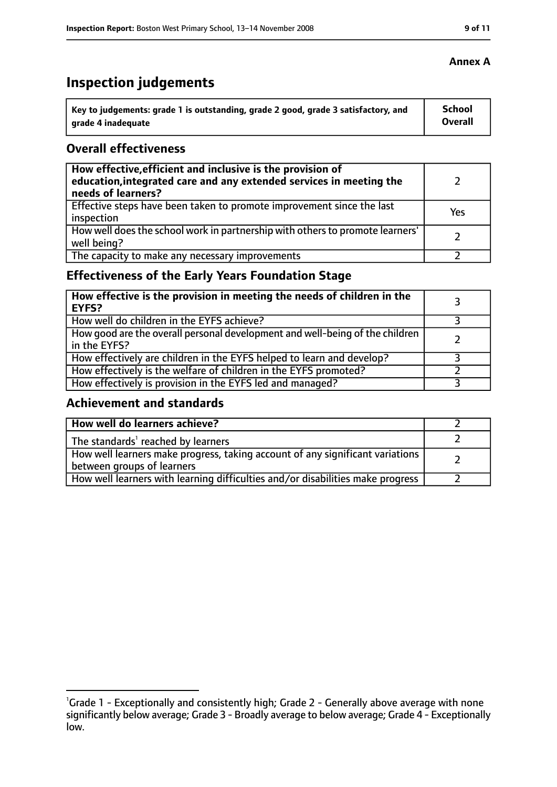## **Inspection judgements**

| Key to judgements: grade 1 is outstanding, grade 2 good, grade 3 satisfactory, and | <b>School</b>  |
|------------------------------------------------------------------------------------|----------------|
| arade 4 inadequate                                                                 | <b>Overall</b> |

#### **Overall effectiveness**

| How effective, efficient and inclusive is the provision of<br>education, integrated care and any extended services in meeting the<br>needs of learners? |     |
|---------------------------------------------------------------------------------------------------------------------------------------------------------|-----|
| Effective steps have been taken to promote improvement since the last<br>inspection                                                                     | Yes |
| How well does the school work in partnership with others to promote learners'<br>well being?                                                            |     |
| The capacity to make any necessary improvements                                                                                                         |     |

### **Effectiveness of the Early Years Foundation Stage**

| How effective is the provision in meeting the needs of children in the<br><b>EYFS?</b>       |  |
|----------------------------------------------------------------------------------------------|--|
| How well do children in the EYFS achieve?                                                    |  |
| How good are the overall personal development and well-being of the children<br>in the EYFS? |  |
| How effectively are children in the EYFS helped to learn and develop?                        |  |
| How effectively is the welfare of children in the EYFS promoted?                             |  |
| How effectively is provision in the EYFS led and managed?                                    |  |

### **Achievement and standards**

| How well do learners achieve?                                                                               |  |
|-------------------------------------------------------------------------------------------------------------|--|
| The standards <sup>1</sup> reached by learners                                                              |  |
| How well learners make progress, taking account of any significant variations<br>between groups of learners |  |
| How well learners with learning difficulties and/or disabilities make progress                              |  |

#### **Annex A**

<sup>&</sup>lt;sup>1</sup>Grade 1 - Exceptionally and consistently high; Grade 2 - Generally above average with none significantly below average; Grade 3 - Broadly average to below average; Grade 4 - Exceptionally low.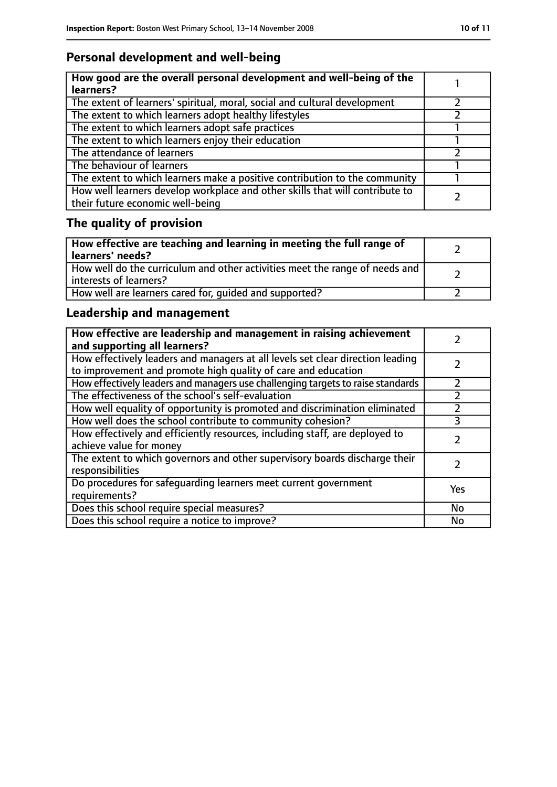### **Personal development and well-being**

| How good are the overall personal development and well-being of the<br>learners?                                 |  |
|------------------------------------------------------------------------------------------------------------------|--|
| The extent of learners' spiritual, moral, social and cultural development                                        |  |
| The extent to which learners adopt healthy lifestyles                                                            |  |
| The extent to which learners adopt safe practices                                                                |  |
| The extent to which learners enjoy their education                                                               |  |
| The attendance of learners                                                                                       |  |
| The behaviour of learners                                                                                        |  |
| The extent to which learners make a positive contribution to the community                                       |  |
| How well learners develop workplace and other skills that will contribute to<br>their future economic well-being |  |

## **The quality of provision**

| How effective are teaching and learning in meeting the full range of<br>learners' needs?              |  |
|-------------------------------------------------------------------------------------------------------|--|
| How well do the curriculum and other activities meet the range of needs and<br>interests of learners? |  |
| How well are learners cared for, quided and supported?                                                |  |

### **Leadership and management**

| How effective are leadership and management in raising achievement<br>and supporting all learners?                                              |     |
|-------------------------------------------------------------------------------------------------------------------------------------------------|-----|
| How effectively leaders and managers at all levels set clear direction leading<br>to improvement and promote high quality of care and education |     |
| How effectively leaders and managers use challenging targets to raise standards                                                                 |     |
| The effectiveness of the school's self-evaluation                                                                                               |     |
| How well equality of opportunity is promoted and discrimination eliminated                                                                      |     |
| How well does the school contribute to community cohesion?                                                                                      | 3   |
| How effectively and efficiently resources, including staff, are deployed to<br>achieve value for money                                          |     |
| The extent to which governors and other supervisory boards discharge their<br>responsibilities                                                  |     |
| Do procedures for safequarding learners meet current government<br>requirements?                                                                | Yes |
| Does this school require special measures?                                                                                                      | No  |
| Does this school require a notice to improve?                                                                                                   | No  |